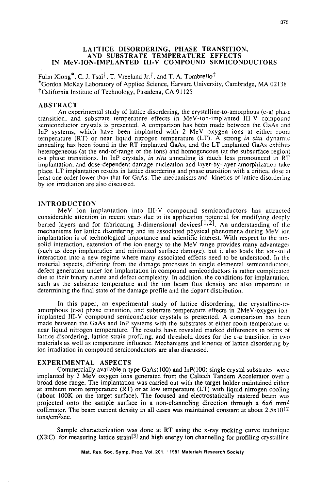### LATTICE DISORDERING, PHASE TRANSITION, AND SUBSTRATE TEMPERATURE EFFECTS IN MeV-ION-IMPLANTED III-V COMPOUND SEMICONDUCTORS

Fulin Xiong<sup>\*</sup>, C. J. Tsai<sup>†</sup>, T. Vreeland Jr.<sup>†</sup>, and T. A. Tombrello<sup>†</sup> \*Gordon McKay Laboratory of Applied Science, Harvard University, Cambridge, MA 02138 <sup>†</sup>California Institute of Technology, Pasadena, CA 91125

### **ABSTRACT**

An experimental study of lattice disordering, the crystalline-to-amorphous (c-a) phase transition, and substrate temperature effects in MeV-ion-implanted III-V compound semiconductor crystals is presented. A comparison has been made between the  $Ga\acute{A}s$  and InP systems, which have been implanted with 2 MeV oxygen ions at either room temperature (RT) or near liquid nitrogen temperature (LT). A strong *in situ* dynamic annealing has been found in the RT implanted GaAs, and the LT implanted GaAs exhibits heterogeneous (at the end-of-range of the ions) and homogeneous (at the subsurface region) c-a phase transitions. In lnP crystals, *in situ* annealing is much less pronounced in RT implantation, and dose-dependent damage nucleation and layer-by-layer amorphization take place. LT implantation results in lattice disordering and phase transition with a critical dose at least one order lower than that for GaAs. The mechanisms and kinetics of lattice disordering by ion irradiation are also discussed.

#### INTRODUCTION

MeV ion implantation into III-V compound semiconductors has attracted considerable attention in recent years due to its application potential for modifying deeply buried layers and for fabricating 3-dimensional devices<sup>[1,2]</sup>. An understanding of the mechanisms for lattice disordering and its associated physical phenomena during MeV ion implantation is of technological imponance and scientific interest. With respect to the ionsolid interaction, extension of the ion energy to the MeV range provides many advantages (such as deep implantation and minimized surface damage), but it also leads the ion-solid interaction into a new regime where many associated effects need to be understood. In the material aspects, differing from the damage processes in single elemental semiconductors, defect generation under ion implantation in compound semiconductors is rather complicated due to their binary nature and defect complexity. In addition, the conditions for implantation, such as the substrate temperature and the ion beam flux density are also important in deterrnining the final state of the damage profile and the dopant distribution.

In this paper, an experimental study of lattice disordering, the crystalline-toamorphous (c-a) phase transition, and substrate temperature effects in 2MeV-oxygen-ionimplanted III-V compound semiconductor crystals is presented. A comparison has been made between the GaAs and InP systems with the substrates at either room temperature or near liquid nitrogen temperature. The results have revealed marked differences in terrns of lattice disordering, lattice strain profiling, and threshold doses for the c-a transition in two materials as well as temperature influence. Mechanisms and kinetics of lattice disordering by ion irradiation in compound semiconductors are also discussed.

#### EXPERIMENTAL ASPECTS

Commercially available n-type GaAs(IOO) and InP(IOO) single crystal substrates were implanted by 2 MeV oxygen ions generated from the Caltech Tandem Accelerator over a broad dose range. The implantation was carried out with the target holder maintained either at ambient room temperature (RT) or at low temperature (LT) with liquid nitrogen cooling (about !OOK on the target surface). The focused and electrostatically rastered beam was projected onto the sample surface in a non-channeling direction through a  $6x6$  mm<sup>2</sup> collimator. The beam current density in all cases was maintained constant at about  $2.5 \times 10^{12}$ ions/cm2sec.

Sample characterization was done at RT using the x-ray rocking curve technique  $(XRC)$  for measuring lattice strain<sup>[3]</sup> and high energy ion channeling for profiling crystalline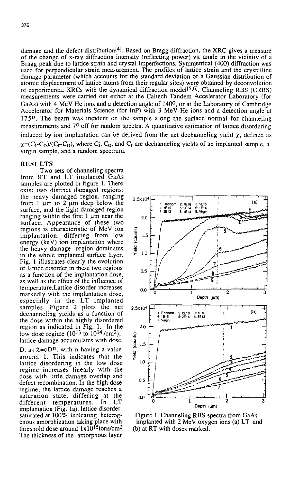damage and the defect distribution<sup>[4]</sup>. Based on Bragg diffraction, the XRC gives a measure of the change of x-ray diffraction intensity (reflecting power) vs. angle in the vicinity of a Bragg peak due to lattice strain and crystal imperfections. Symmetrical (400) diffraction was used for perpendicular strain measurement. The profiles of lattice strain and the crystalline damage parameter (which accounts for the standard deviation of a Gaussian distribution of atomic displacement of lattice atoms from their regular sites) were obtained by deconvolution of experimental XRCs with the dynamical diffraction model<sup>[5,6]</sup>. Channeling RBS (CRBS) measurements were carried out either at the Caltech Tandem Accelerator Laboratory (for GaAs) with 4 MeV He ions and a detection angle of 1400, or at the Laboratory of Cambridge Accelerator for Materials Science (for InP) with 3 MeV He ions and a detection angle at 1750\_ The beam was incident on the sample along the surface normal for channeling measurements and 7° off for random spectra. A quantitative estimation of lattice disordering induced by ion implantation can be derived from the net dechanneling yield  $\chi$ , defined as  $\chi = (C_i-C_0)/(C_f-C_0)$ , where C<sub>i</sub>, C<sub>o</sub>, and C<sub>r</sub> are dechanneling yields of an implanted sample, a virgin sample, and a random spectrum.

## **RESULTS**

Two sets of channeling spectra from RT and LT implanted GaAs samples are plotted in figure I. There exist two distinct damaged regions: the heavy damaged region, ranging from 1 µm to 2 µm deep below the surface, and the light damaged region ranging within the first 1 µm near the surface. Appearance of these two regions is characteristic of MeV ion implantation, differing from low energy (keV) ion implantation where the heavy damage region dominates in the whole implanted surface layer. Fig. 1 illustrates clearly the evolution of lattice disorder in these two regions as a function of the implantation dose, as well as the effect of the influence of temperature.Lattice disorder increases markedly with the implantation dose, especially in the LT implanted samples. Figure 2 plots the net dechanneling yields as a function of the dose within the highly disordered region as indicated in Fig. I. In the low dose regime  $(10^{13} \text{ to } 10^{14} / \text{cm}^2)$ , lattice damage accumulates with dose,

D, as  $\chi = cD^n$ , with n having a value around 1. This indicates that the lattice disordering in the low dose regime increases linearly with the dose with little damage overlap and defect recombination. In the high dose regime, the lattice damage reaches a saturation state, differing at the different temperatures. In LT implantation (Fig. la), lattice disorder saturated at 100%, indicating heterogenous amorphization taking place with threshold dose around  $1x10^{15}$ ions/cm<sup>2</sup>. The thickness of the amorphous layer



Figure I. Channeling RBS spectra from GaAs implanted with 2 MeV oxygen ions (a) LT and (b) at RT with doses marked.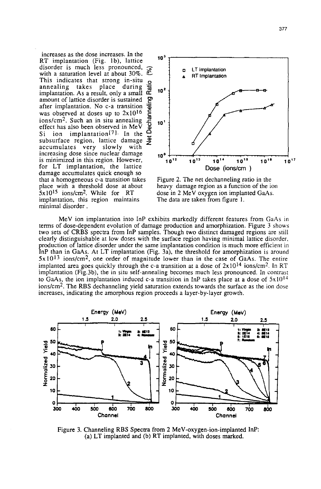increases as the dose increases. In the RT implantation (Fig. lb), lattice disorder is much less pronounced, with a saturation level at about 30%. This indicates that strong in-situ<br>annealing takes place during place during  $\frac{1}{10}$ <br>sult. only a small  $\frac{1}{10}$ implantation. As a result, only a small  $\alpha$ <br>amount of lattice disorder is sustained  $\alpha$ <br>after implantation. No c-a transition<br>was observed at doses up to  $2 \times 10^{16}$ <br>ions/cm<sup>2</sup>. Such an in situ annealing  $\alpha$ <br>effect ha amount of lattice disorder is sustained after implantation. No c-a transition was observed at doses up to  $2x10^{16}$  ions/cm<sup>2</sup>. Such an in situ annealing effect has also been observed in Me $\tilde{V}$ Si ion implantation<sup>[7]</sup>. In the Subsurface region, lattice damage  $\frac{5}{2}$ subsurface region, lattice damage<br>accumulates very slowly with increasing dose since nuclear damage is minimized in this region. However, for LT implantation, the lattice damage accumulates quick enough so that a homogeneous c-a transition takes place with a threshold dose at about 5xJOl5 ions/cm2. While for RT implantation, this region maintains minimal disorder .



Figure 2. The net dechanneling ratio in the heavy damage region as a function of the ion dose in 2 MeV oxygen ion implanted GaAs. The data are taken from figure I.

MeV ion implantation into InP exhibits markedly different features from GaAs in terms of dose-dependent evolution of damage production and amorphization. Figure 3 shows two sets of CRBS spectra from InP samples. Though two distinct damaged regions are still clearly distinguishable at low doses with the surface region having minimal lattice disorder. production of lattice disorder under the same implantation condition is much more efficient in InP than in GaAs. At LT implantation (Fig. 3a), the threshold for amorphization is around  $5x10^{13}$  ions/cm<sup>2</sup>, one order of magnitude lower than in the case of GaAs. The entire implanted area goes quickly through the c-a transition at a dose of  $2x10^{14}$  ions/cm<sup>2</sup>. In RT implantation (Fig.3b), the in situ self-annealing becomes much less pronounced. In contrast to GaAs, the ion implantation induced c-a transition in InP takes place at a dose of  $5x10^{14}$ ions/cm2. The RBS dechanneling yield saturation extends towards the surface as the ion dose increases, indicating the amorphous region proceeds a layer-by-layer growth.



Figure 3. Channeling RBS Spectra from 2 MeV-oxygen-ion-implanted InP: (a) LT implanted and (b) RT implanted, with doses marked.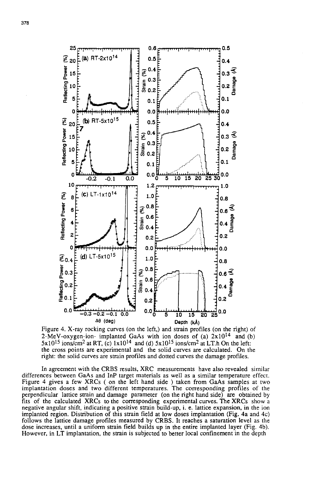

Figure 4. X-ray rocking curves (on the left,) and strain profiles (on the right) of 2-MeV-oxygen-ion- implanted GaAs with ion doses of (a)  $2x10^{14}$  and (b)  $5x10^{15}$  ions/cm<sup>2</sup> at RT, (c)  $1x10^{14}$  and (d)  $5x10^{15}$  ions/cm<sup>2</sup> at LT.h On the left: the cross points are experimental and the solid curves are calculated. On the right: the solid curves are strain profiles and dotted curves the damage profiles.

In agreement with the CRBS results, XRC measurements have also revealed similar differences between GaAs and InP target materials as well as a similar temperature effect. Figure 4 gives a few XRCs ( on the left hand side ) taken from GaAs samples at two implantation doses and two different temperatures. The corresponding profiles of the perpendicular lattice strain and damage parameter (on the right hand side) are obtained by fits of the calculated XRCs to the corresponding experimental curves. The XRCs show a negative angular shift, indicating a positive strain build-up, i. e. lattice expansion, in the ion implanted region. Distribution of this strain field at low doses implantation (Fig. 4a and 4c) follows the lattice damage profiles measured by CRBS. It reaches a saturation level as the dose increases, until a uniform strain field builds up in the entire implanted layer (Fig. 4b). However, in LT implantation, the strain is subjected to better local confinement in the depth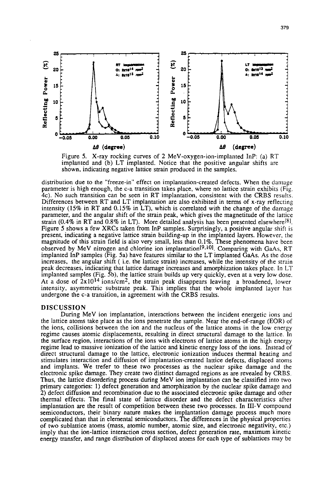

Figure S. X-ray rocking curves of 2 MeV-oxygen-ion-implanted InP: (a) RT implanted and (b) LT implanted. Notice that the positive angular shifts are shown, indicating negative lattice strain produced in the samples.

distribution due to the "freeze-in" effect on implantation-created defects. When the damage parameter is high enough, the c-a transition takes place, where no lattice strain exhibits (Fig. 4c). No such transition can be seen in RT implantation, consistent with the CRBS results. Differences between RT and LT implantation are also exhibited in terms of x-ray reflecting intensity (15% in RT and  $0.15\%$  in LT), which is correlated with the change of the damage parameter, and the angular shift of the strain peak, which gives the magnetitude of the lattice strain (0.4% in RT and 0.8% in LT). More detailed analysis has been presented elsewhere<sup>[8]</sup>. Figure S shows a few XRCs taken from InP samples. Surprisingly, a positive angular shift is present, indicating a negative lattice strain building-up in the implanted layers. However, the magnitude of this strain field is also very small, less than 0.1 %. These phenomena have been observed by MeV nitrogen and chlorine ion implantation<sup>[9,10]</sup>. Comparing with GaAs, RT implanted InP samples (Fig. Sa) have features similar to the LT implanted GaAs. As the dose increases, the angular shift ( i.e. the lattice strain) increases, while the intensity of the strain peak decreases, indicating that lattice damage increases and amorphization takes place. In LT implanted samples (Fig. Sb), the lattice strain builds up very quickly, even at a very low dose. At a dose of  $2x10^{14}$  ions/cm<sup>2</sup>, the strain peak disappears leaving a broadened, lower intensity, asymmetric substrate peak. This implies that the whole implanted layer has undergone the c-a transition, in agreement with the CRBS results.

### DISCUSSION

During MeV ion implantation, interactions between the incident energetic ions and the lattice atoms take place as the ions penetrate the sample. Near the end-of-range (EOR) of the ions, collisions between the ion and the nucleus of the lattice atoms in the low energy regime causes atomic displacements, resulting in direct structural damage to the lattice. In the surface region, interactions of the ions with electrons of lattice atoms in the high energy regime lead to massive ionization of the lattice and kinetic energy loss of the ions. Instead of direct structural damage to the lattice, electronic ionization induces thermal heating and stimulates interaction and diffusion of implantation-created lattice defects, displaced atoms and implants. We trefer to these two processes as the nuclear spike damage and the electronic spike damage. They create two distinct damaged regions as are revealed by CRBS. Thus, the lattice disordering process during MeV ion implantation can be classified into two primary categories: 1) defect generation and amorphization by the nuclear spike damage and 2) defect diffusion and recombination due to the associated electronic spike damage and other thermal effects. The final state of lattice disorder and the defect characteristics after implantation are the result of competition between these two processes. In III-V compound semiconductors, their binary nature makes the implantation damage process much more complicated than that in elemental semiconductors. The differences in the physical properties of two sublattice atoms (mass, atomic number, atomic size, and electronic negativity, etc.) imply that the ion-lattice interaction cross section, defect generation rate, maximum kinetic energy transfer, and range distribution of displaced atoms for each type of sublattices may be